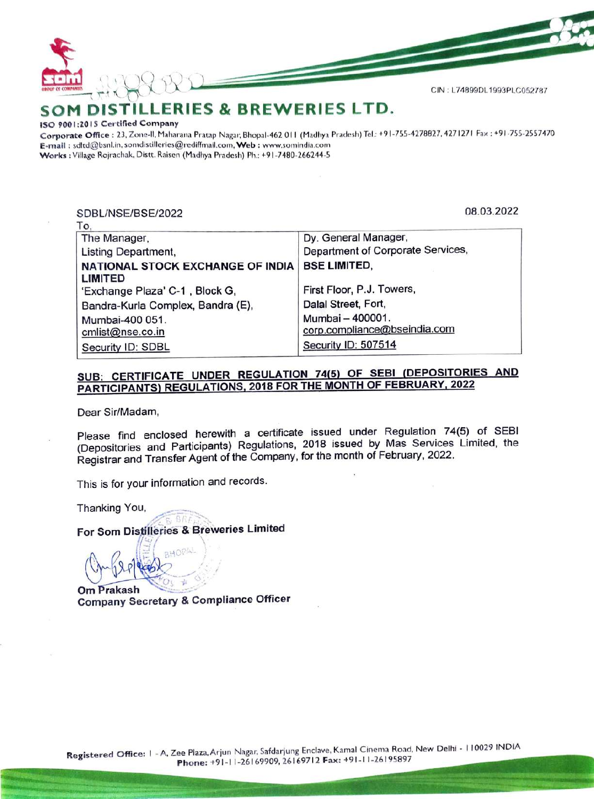

#### SOM DIST DISTILLERIES & BREWERIES LTD.

### ISO 9001:201S Certified Company

Corporate Office : 23, Zone-ll, Maharana Pratap Nagar, Bhopal-462 011 (Madhya Pradesh) Tel: +91-755-4278827, 4271271 Fax : +91-755-2557470 E-mail : sditd@bsnl.in, somdistilleries@rediffmail.com, Web : www.somindia.com Works : Village Rojrachak, Distt. Raisen (Madhya Pradesh) Ph.: +91-7480-266244-5

## SDBL/NSE/BSE/2022 08.03.2022

| SDBL/NSE/BSE/2022                                         | 08.03.2022                                       |
|-----------------------------------------------------------|--------------------------------------------------|
| To,<br>The Manager,                                       | Dy. General Manager,                             |
| Listing Department,                                       | Department of Corporate Services,                |
| <b>NATIONAL STOCK EXCHANGE OF INDIA</b><br><b>LIMITED</b> | <b>BSE LIMITED,</b>                              |
| 'Exchange Plaza' C-1, Block G.                            | First Floor, P.J. Towers,                        |
| Bandra-Kurla Complex, Bandra (E),                         | Dalal Street, Fort,                              |
| Mumbai-400 051.<br>cmlist@nse.co.in                       | Mumbai - 400001.<br>corp.compliance@bseindia.com |
| Security ID: SDBL                                         | Security ID: 507514                              |

# SUB: CERTIFICATE UNDER REGULATION 74(5) OF SEBI (DEPOSITORIES AND PARTICIPANTS) REGULATIONS, 2018 FOR THE MONTH OF FEBRUARY, 2022

Dear Sir/Madam,

Dear Sir/Madam,<br>
Please find enclosed herewith a cert<br>
(Depositories and Participants) Regulat<br>
Registrar and Transfer Agent of the Comp<br>
This is for your information and records.<br>
Thanking You,<br>
For Som Distilleries & Bre Please find enclosed herewith a certificate issued under Regulation 74(5) of SEBI (Depositories and Participants) Regulations, 2018 issued by Mas Services Limited, the Registrar and Transfer Agent of the Company, for the month of February, 2022.

This is for your information and records.

Thanking You,

ar<br>Karskalan<br>Karskalan

For Som Distilleries & Breweries Limited

 $29$ Om Prakash Company Secretary & Compliance Officer